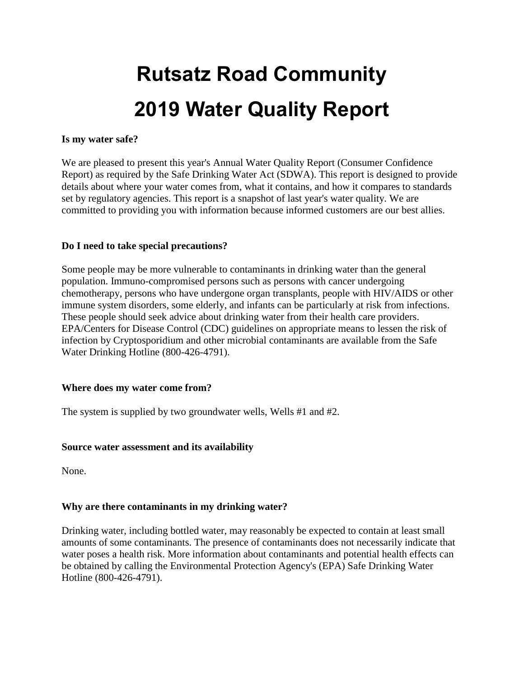# **Rutsatz Road Community 2019 Water Quality Report**

#### **Is my water safe?**

We are pleased to present this year's Annual Water Quality Report (Consumer Confidence Report) as required by the Safe Drinking Water Act (SDWA). This report is designed to provide details about where your water comes from, what it contains, and how it compares to standards set by regulatory agencies. This report is a snapshot of last year's water quality. We are committed to providing you with information because informed customers are our best allies.

#### **Do I need to take special precautions?**

Some people may be more vulnerable to contaminants in drinking water than the general population. Immuno-compromised persons such as persons with cancer undergoing chemotherapy, persons who have undergone organ transplants, people with HIV/AIDS or other immune system disorders, some elderly, and infants can be particularly at risk from infections. These people should seek advice about drinking water from their health care providers. EPA/Centers for Disease Control (CDC) guidelines on appropriate means to lessen the risk of infection by Cryptosporidium and other microbial contaminants are available from the Safe Water Drinking Hotline (800-426-4791).

#### **Where does my water come from?**

The system is supplied by two groundwater wells, Wells #1 and #2.

#### **Source water assessment and its availability**

None.

#### **Why are there contaminants in my drinking water?**

Drinking water, including bottled water, may reasonably be expected to contain at least small amounts of some contaminants. The presence of contaminants does not necessarily indicate that water poses a health risk. More information about contaminants and potential health effects can be obtained by calling the Environmental Protection Agency's (EPA) Safe Drinking Water Hotline (800-426-4791).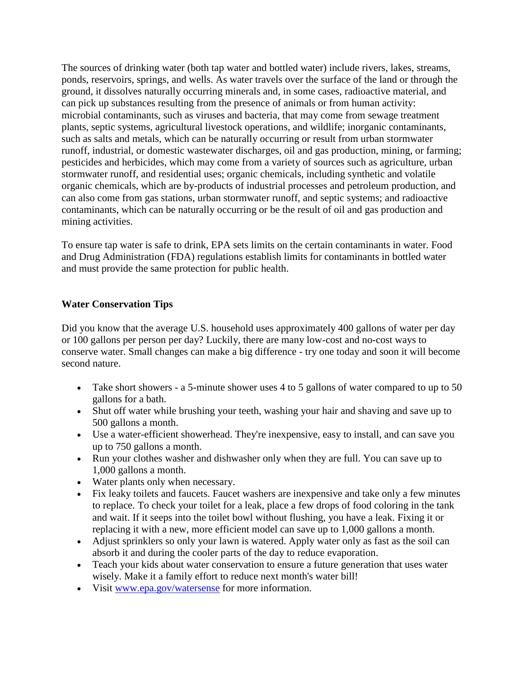The sources of drinking water (both tap water and bottled water) include rivers, lakes, streams, ponds, reservoirs, springs, and wells. As water travels over the surface of the land or through the ground, it dissolves naturally occurring minerals and, in some cases, radioactive material, and can pick up substances resulting from the presence of animals or from human activity: microbial contaminants, such as viruses and bacteria, that may come from sewage treatment plants, septic systems, agricultural livestock operations, and wildlife; inorganic contaminants, such as salts and metals, which can be naturally occurring or result from urban stormwater runoff, industrial, or domestic wastewater discharges, oil and gas production, mining, or farming; pesticides and herbicides, which may come from a variety of sources such as agriculture, urban stormwater runoff, and residential uses; organic chemicals, including synthetic and volatile organic chemicals, which are by-products of industrial processes and petroleum production, and can also come from gas stations, urban stormwater runoff, and septic systems; and radioactive contaminants, which can be naturally occurring or be the result of oil and gas production and mining activities.

To ensure tap water is safe to drink, EPA sets limits on the certain contaminants in water. Food and Drug Administration (FDA) regulations establish limits for contaminants in bottled water and must provide the same protection for public health.

#### **Water Conservation Tips**

Did you know that the average U.S. household uses approximately 400 gallons of water per day or 100 gallons per person per day? Luckily, there are many low-cost and no-cost ways to conserve water. Small changes can make a big difference - try one today and soon it will become second nature.

- Take short showers a 5-minute shower uses 4 to 5 gallons of water compared to up to 50 gallons for a bath.
- Shut off water while brushing your teeth, washing your hair and shaving and save up to 500 gallons a month.
- Use a water-efficient showerhead. They're inexpensive, easy to install, and can save you up to 750 gallons a month.
- Run your clothes washer and dishwasher only when they are full. You can save up to 1,000 gallons a month.
- Water plants only when necessary.
- Fix leaky toilets and faucets. Faucet washers are inexpensive and take only a few minutes to replace. To check your toilet for a leak, place a few drops of food coloring in the tank and wait. If it seeps into the toilet bowl without flushing, you have a leak. Fixing it or replacing it with a new, more efficient model can save up to 1,000 gallons a month.
- Adjust sprinklers so only your lawn is watered. Apply water only as fast as the soil can absorb it and during the cooler parts of the day to reduce evaporation.
- Teach your kids about water conservation to ensure a future generation that uses water wisely. Make it a family effort to reduce next month's water bill!
- Visit [www.epa.gov/watersense](http://www.epa.gov/watersense) for more information.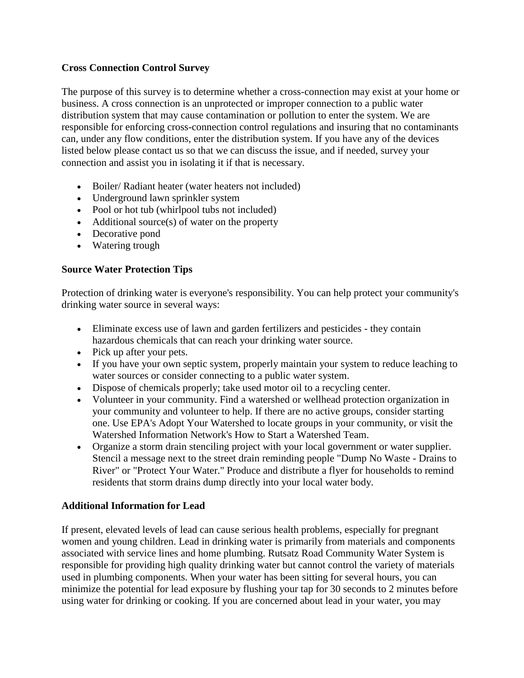#### **Cross Connection Control Survey**

The purpose of this survey is to determine whether a cross-connection may exist at your home or business. A cross connection is an unprotected or improper connection to a public water distribution system that may cause contamination or pollution to enter the system. We are responsible for enforcing cross-connection control regulations and insuring that no contaminants can, under any flow conditions, enter the distribution system. If you have any of the devices listed below please contact us so that we can discuss the issue, and if needed, survey your connection and assist you in isolating it if that is necessary.

- Boiler/ Radiant heater (water heaters not included)
- Underground lawn sprinkler system
- Pool or hot tub (whirlpool tubs not included)
- Additional source(s) of water on the property
- Decorative pond
- Watering trough

#### **Source Water Protection Tips**

Protection of drinking water is everyone's responsibility. You can help protect your community's drinking water source in several ways:

- Eliminate excess use of lawn and garden fertilizers and pesticides they contain hazardous chemicals that can reach your drinking water source.
- Pick up after your pets.
- If you have your own septic system, properly maintain your system to reduce leaching to water sources or consider connecting to a public water system.
- Dispose of chemicals properly; take used motor oil to a recycling center.
- Volunteer in your community. Find a watershed or wellhead protection organization in your community and volunteer to help. If there are no active groups, consider starting one. Use EPA's Adopt Your Watershed to locate groups in your community, or visit the Watershed Information Network's How to Start a Watershed Team.
- Organize a storm drain stenciling project with your local government or water supplier. Stencil a message next to the street drain reminding people "Dump No Waste - Drains to River" or "Protect Your Water." Produce and distribute a flyer for households to remind residents that storm drains dump directly into your local water body.

#### **Additional Information for Lead**

If present, elevated levels of lead can cause serious health problems, especially for pregnant women and young children. Lead in drinking water is primarily from materials and components associated with service lines and home plumbing. Rutsatz Road Community Water System is responsible for providing high quality drinking water but cannot control the variety of materials used in plumbing components. When your water has been sitting for several hours, you can minimize the potential for lead exposure by flushing your tap for 30 seconds to 2 minutes before using water for drinking or cooking. If you are concerned about lead in your water, you may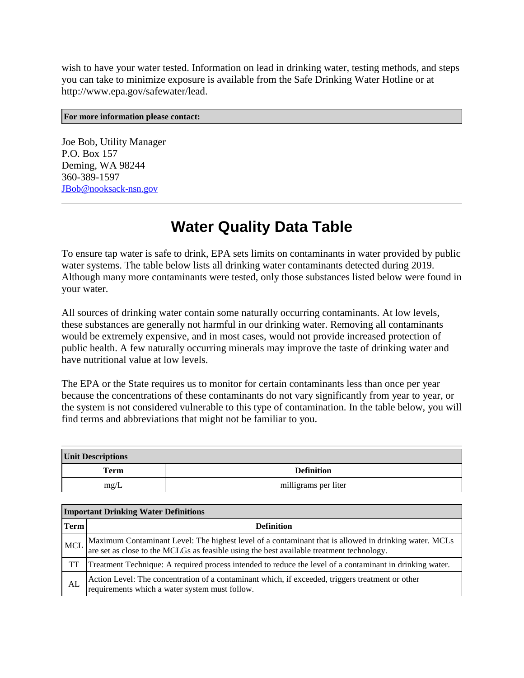wish to have your water tested. Information on lead in drinking water, testing methods, and steps you can take to minimize exposure is available from the Safe Drinking Water Hotline or at http://www.epa.gov/safewater/lead.

#### **For more information please contact:**

Joe Bob, Utility Manager P.O. Box 157 Deming, WA 98244 360-389-1597 [JBob@nooksack-nsn.gov](mailto:JBob@nooksack-nsn.gov)

## **Water Quality Data Table**

To ensure tap water is safe to drink, EPA sets limits on contaminants in water provided by public water systems. The table below lists all drinking water contaminants detected during 2019. Although many more contaminants were tested, only those substances listed below were found in your water.

All sources of drinking water contain some naturally occurring contaminants. At low levels, these substances are generally not harmful in our drinking water. Removing all contaminants would be extremely expensive, and in most cases, would not provide increased protection of public health. A few naturally occurring minerals may improve the taste of drinking water and have nutritional value at low levels.

The EPA or the State requires us to monitor for certain contaminants less than once per year because the concentrations of these contaminants do not vary significantly from year to year, or the system is not considered vulnerable to this type of contamination. In the table below, you will find terms and abbreviations that might not be familiar to you.

| <b>Unit Descriptions</b> |                      |
|--------------------------|----------------------|
| <b>Term</b>              | <b>Definition</b>    |
| mg/L                     | milligrams per liter |

| <b>Important Drinking Water Definitions</b> |                                                                                                                                                                                                |  |  |  |
|---------------------------------------------|------------------------------------------------------------------------------------------------------------------------------------------------------------------------------------------------|--|--|--|
| <b>Term</b>                                 | <b>Definition</b>                                                                                                                                                                              |  |  |  |
| <b>MCL</b>                                  | Maximum Contaminant Level: The highest level of a contaminant that is allowed in drinking water. MCLs are set as close to the MCLGs as feasible using the best available treatment technology. |  |  |  |
| TT                                          | Treatment Technique: A required process intended to reduce the level of a contaminant in drinking water.                                                                                       |  |  |  |
| AL                                          | Action Level: The concentration of a contaminant which, if exceeded, triggers treatment or other<br>requirements which a water system must follow.                                             |  |  |  |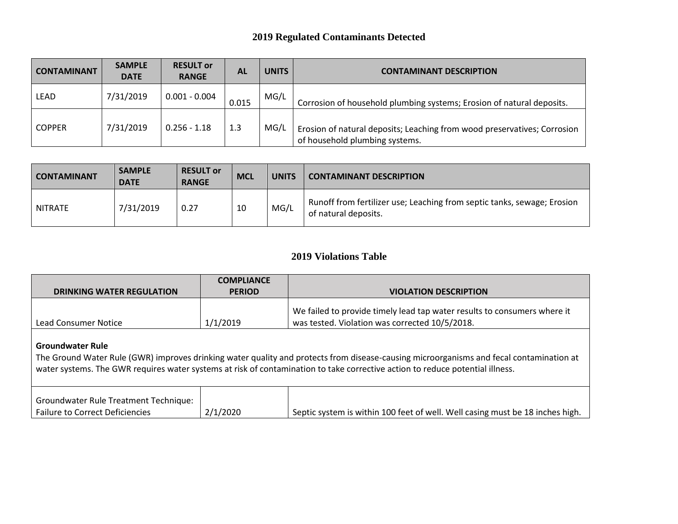### **2019 Regulated Contaminants Detected**

| <b>CONTAMINANT</b> | <b>SAMPLE</b><br><b>DATE</b> | <b>RESULT or</b><br><b>RANGE</b> | <b>AL</b> | <b>UNITS</b> | <b>CONTAMINANT DESCRIPTION</b>                                                                             |
|--------------------|------------------------------|----------------------------------|-----------|--------------|------------------------------------------------------------------------------------------------------------|
| LEAD               | 7/31/2019                    | $0.001 - 0.004$                  | 0.015     | MG/L         | Corrosion of household plumbing systems; Erosion of natural deposits.                                      |
| <b>COPPER</b>      | 7/31/2019                    | $0.256 - 1.18$                   | 1.3       | MG/L         | Erosion of natural deposits; Leaching from wood preservatives; Corrosion<br>of household plumbing systems. |

| <b>CONTAMINANT</b> | <b>SAMPLE</b><br><b>DATE</b> | <b>RESULT or</b><br><b>RANGE</b> | <b>MCL</b> | <b>UNITS</b> | <b>CONTAMINANT DESCRIPTION</b>                                                                  |
|--------------------|------------------------------|----------------------------------|------------|--------------|-------------------------------------------------------------------------------------------------|
| NITRATE            | 7/31/2019                    | 0.27                             | 10         | MG/L         | Runoff from fertilizer use; Leaching from septic tanks, sewage; Erosion<br>of natural deposits. |

#### **2019 Violations Table**

|                                                                                        | <b>COMPLIANCE</b> |                                                                                                                                                                                                                                                                          |
|----------------------------------------------------------------------------------------|-------------------|--------------------------------------------------------------------------------------------------------------------------------------------------------------------------------------------------------------------------------------------------------------------------|
| <b>DRINKING WATER REGULATION</b>                                                       | <b>PERIOD</b>     | <b>VIOLATION DESCRIPTION</b>                                                                                                                                                                                                                                             |
| Lead Consumer Notice                                                                   | 1/1/2019          | We failed to provide timely lead tap water results to consumers where it<br>was tested. Violation was corrected 10/5/2018.                                                                                                                                               |
|                                                                                        |                   |                                                                                                                                                                                                                                                                          |
| <b>Groundwater Rule</b>                                                                |                   | The Ground Water Rule (GWR) improves drinking water quality and protects from disease-causing microorganisms and fecal contamination at<br>water systems. The GWR requires water systems at risk of contamination to take corrective action to reduce potential illness. |
| <b>Groundwater Rule Treatment Technique:</b><br><b>Failure to Correct Deficiencies</b> | 2/1/2020          | Septic system is within 100 feet of well. Well casing must be 18 inches high.                                                                                                                                                                                            |